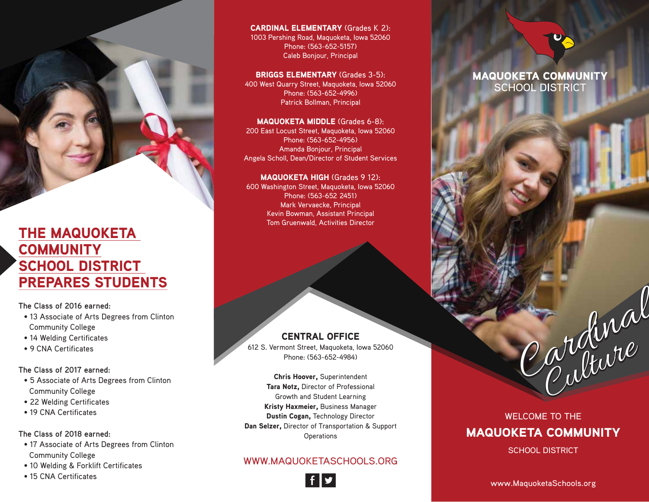THE MAQUOKETA **COMMUNITY** SCHOOL DISTRICT THE MAQUOKETA<br>COMMUNITY<br>SCHOOL DISTRICT<br>PREPARES STUDENTS

**The Class of 2016 earned:** 

- 13 Associate of Arts Degrees from Clinton Community College
- 14 Welding Certificates
- 9 CNA Certificates

**The Class of 2017 earned:** 

- 5 Associate of Arts Degrees from Clinton Community College
- 22 Welding Certificates
- 19 CNA Certificates

**The Class of 2018 earned:** 

- 17 Associate of Arts Degrees from Clinton Community College
- 10 Welding & Forklift Certificates
- 15 CNA Certificates

CARDINAL ELEMENTARY (Grades K 2): 1003 Pershing Road, Maquoketa, Iowa 52060 Phone: (563-652-5157) Caleb Bonjour, Principal

BRIGGS ELEMENTARY (Grades 3-5): 400 West Quarry Street, Maquoketa, Iowa 52060 Phone: (563-652-4996) Patrick Bollman, Principal

MAQUOKETA MIDDLE (Grades 6-8): 200 East Locust Street, Maquoketa, Iowa 52060 Phone: (563-652-4956) Amanda Bonjour, Principal Angela Scholl, Dean/Director of Student Services

MAQUOKETA HIGH (Grades 9 12): 600 Washington Street, Maquoketa, Iowa 52060 Phone: (563-652 2451) - Mark Vervaecke, Principal Kevin Bowman, Assistant Principal Tom Gruenwald, Activities Director

CENTRAL OFFICE

612 S. Vermont Street, Maquoketa, Iowa 52060 Phone: (563-652-4984)

Chris Hoover, Superintendent Tara Notz, Director of Professional Growth and Student Learning Kristy Haxmeier, Business Manager Dustin Cogan, Technology Director Dan Selzer, Director of Transportation & Support **Operations** 

#### WWW.MAQUOKETASCHOOLS.ORG



#### **MAQUOKETA COMMUNITY SCHOOL DISTRICT**

## WELCOME TO THE MAQUOKETA COMMUNITY

Cardinal

SCHOOL DISTRICT